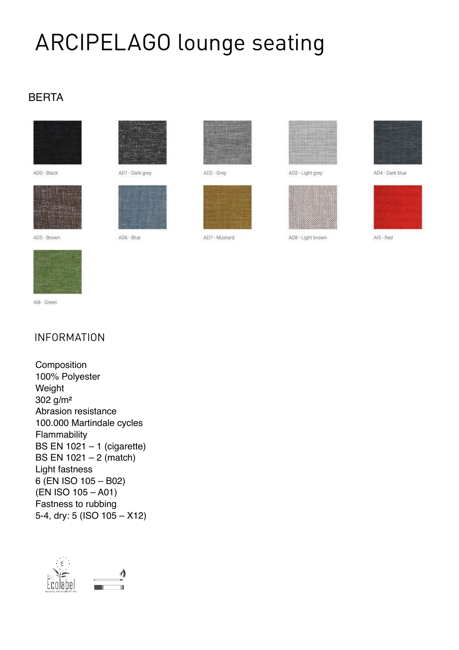# ARCIPELAGO lounge seating

# BERTA



ADO - Black

AD5 - Brown





AD6 - Blue



AD2 - Grey



AD7 - Mustard



AD3 - Light grey



AD8 - Light brown

AD4 - Dark blue



AIS - Red



Al8 - Green

# INFORMATION

 100% Polyester Weight 100.000 Martindale cycles BS EN 1021 – 1 (cigarette) BS EN 1021 – 2 (match) Light fastness (EN ISO 105 – A01) 5-4, dry: 5 (ISO 105 – X12) **Composition** 302 g/m² Abrasion resistance Flammability 6 (EN ISO 105 – B02) Fastness to rubbing

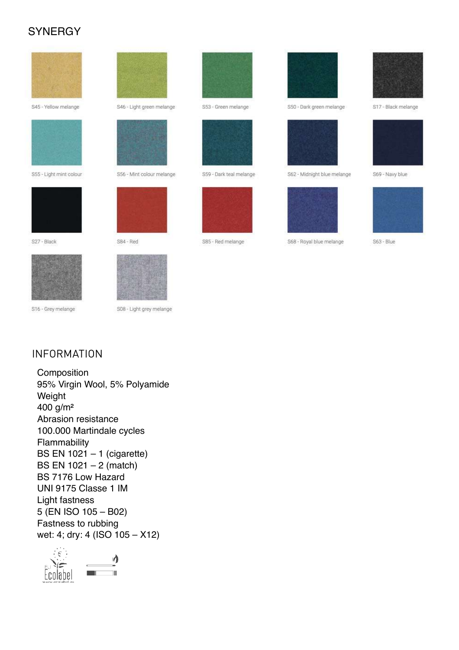# **SYNERGY**



S45 - Yellow melange



S55 - Light mint colour



S27 - Black



S16 - Grey melange





S56 - Mint colour melange













S59 - Dark teal melange



S85 - Red melange



S50 - Dark green melange



S62 - Midnight blue melange



S68 - Royal blue melange



S17 - Black melange



S69 - Navy blue



S63 - Blue

### **INFORMATION**

Composition 95% Virgin Wool, 5% Polyamide Weight 400  $g/m^2$ Abrasion resistance 100.000 Martindale cycles Flammability BS EN  $1021 - 1$  (cigarette) BS EN  $1021 - 2$  (match) BS 7176 Low Hazard UNI 9175 Classe 1 IM Light fastness 5 (EN ISO 105 - B02) Fastness to rubbing wet: 4; dry: 4 (ISO 105 - X12)

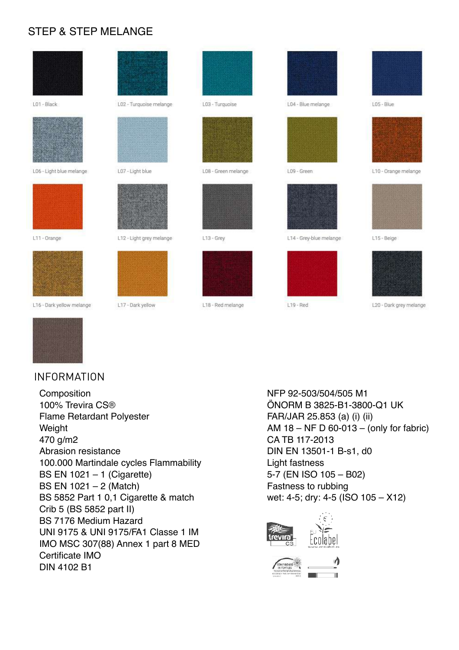# STEP & STEP MELANGE

| LO1 - Black              | L02 - Turquoise melange  | L03 - Turquoise     | L04 - Blue melange      | LOS-Blue             |
|--------------------------|--------------------------|---------------------|-------------------------|----------------------|
|                          |                          |                     |                         |                      |
| L06 - Light blue melange | L07 - Light blue         | L08 - Green melange | L09 - Green             | L10 - Orange melange |
|                          |                          |                     |                         |                      |
| L11 - Orange             | L12 - Light grey melange | L13 - Grey          | L14 - Grey-blue melange | L15 - Beige          |
|                          |                          |                     |                         |                      |

L18 - Red melange



L16 - Dark yellow melange

#### INFORMATION

 Composition Abrasion resistance 100.000 Martindale cycles Flammability BS EN 1021 – 1 (Cigarette) BS 5852 Part 1 0,1 Cigarette & match BS 7176 Medium Hazard 470 g/m2 UNI 9175 & UNI 9175/FA1 Classe 1 IM IMO MSC 307(88) Annex 1 part 8 MED Certificate IMO 100% Trevira CS® Flame Retardant Polyester Weight BS EN 1021 – 2 (Match) Crib 5 (BS 5852 part II) DIN 4102 B1

L17 - Dark yellow

 ÖNORM B 3825-B1-3800-Q1 UK AM 18 – NF D 60-013 – (only for fabric) CA TB 117-2013 Light fastness Fastness to rubbing NFP 92-503/504/505 M1 FAR/JAR 25.853 (a) (i) (ii) DIN EN 13501-1 B-s1, d0 5-7 (EN ISO 105 – B02) wet: 4-5; dry: 4-5 (ISO 105 – X12)

L20 - Dark grey melange



L19 - Red

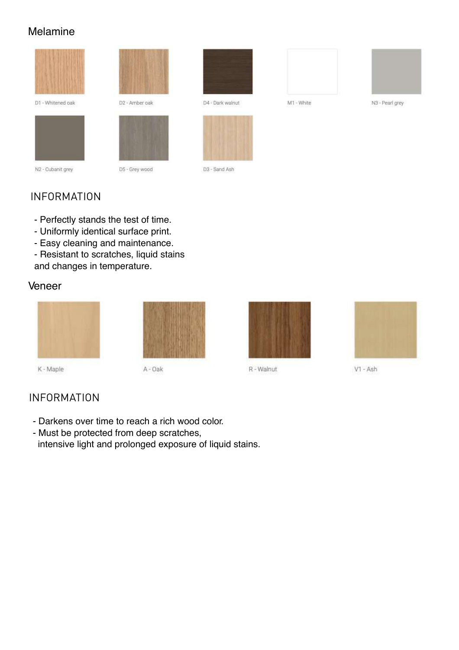#### Melamine



D1 - Whitened oak



N2 - Cubanit grey

D5 - Grey wood

D2 - Amber oak



D4 - Dark walnut



D3 - Sand Ash



N3 - Pearl grey

# INFORMATION

- Perfectly stands the test of time.
- Uniformly identical surface print.
- Easy cleaning and maintenance.
- - Resistant to scratches, liquid stains and changes in temperature.

#### Veneer



R - Walnut



V1 - Ash

# INFORMATION

- Darkens over time to reach a rich wood color.
- intensive light and prolonged exposure of liquid stains.- Must be protected from deep scratches,

A - Oak